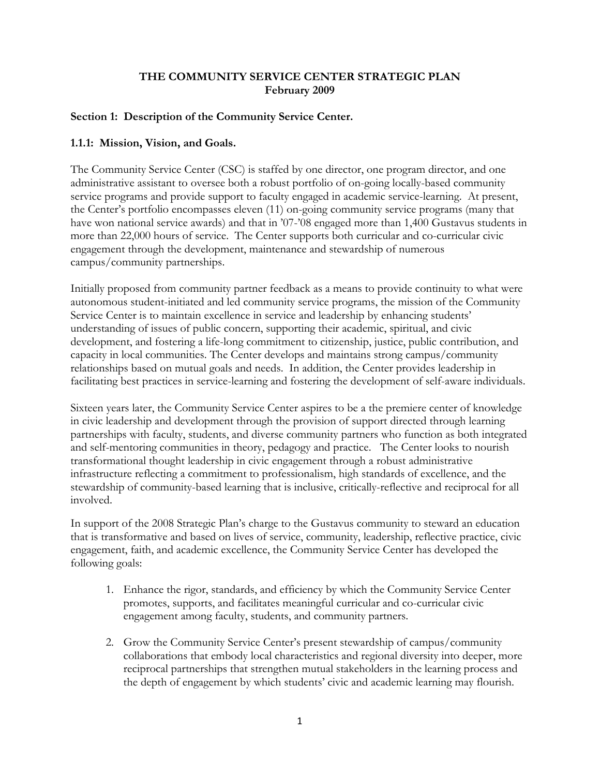# **THE COMMUNITY SERVICE CENTER STRATEGIC PLAN February 2009**

# **Section 1: Description of the Community Service Center.**

# **1.1.1: Mission, Vision, and Goals.**

The Community Service Center (CSC) is staffed by one director, one program director, and one administrative assistant to oversee both a robust portfolio of on-going locally-based community service programs and provide support to faculty engaged in academic service-learning. At present, the Center's portfolio encompasses eleven (11) on-going community service programs (many that have won national service awards) and that in '07-'08 engaged more than 1,400 Gustavus students in more than 22,000 hours of service. The Center supports both curricular and co-curricular civic engagement through the development, maintenance and stewardship of numerous campus/community partnerships.

Initially proposed from community partner feedback as a means to provide continuity to what were autonomous student-initiated and led community service programs, the mission of the Community Service Center is to maintain excellence in service and leadership by enhancing students' understanding of issues of public concern, supporting their academic, spiritual, and civic development, and fostering a life-long commitment to citizenship, justice, public contribution, and capacity in local communities. The Center develops and maintains strong campus/community relationships based on mutual goals and needs. In addition, the Center provides leadership in facilitating best practices in service-learning and fostering the development of self-aware individuals.

Sixteen years later, the Community Service Center aspires to be a the premiere center of knowledge in civic leadership and development through the provision of support directed through learning partnerships with faculty, students, and diverse community partners who function as both integrated and self-mentoring communities in theory, pedagogy and practice. The Center looks to nourish transformational thought leadership in civic engagement through a robust administrative infrastructure reflecting a commitment to professionalism, high standards of excellence, and the stewardship of community-based learning that is inclusive, critically-reflective and reciprocal for all involved.

In support of the 2008 Strategic Plan's charge to the Gustavus community to steward an education that is transformative and based on lives of service, community, leadership, reflective practice, civic engagement, faith, and academic excellence, the Community Service Center has developed the following goals:

- 1. Enhance the rigor, standards, and efficiency by which the Community Service Center promotes, supports, and facilitates meaningful curricular and co-curricular civic engagement among faculty, students, and community partners.
- 2. Grow the Community Service Center's present stewardship of campus/community collaborations that embody local characteristics and regional diversity into deeper, more reciprocal partnerships that strengthen mutual stakeholders in the learning process and the depth of engagement by which students' civic and academic learning may flourish.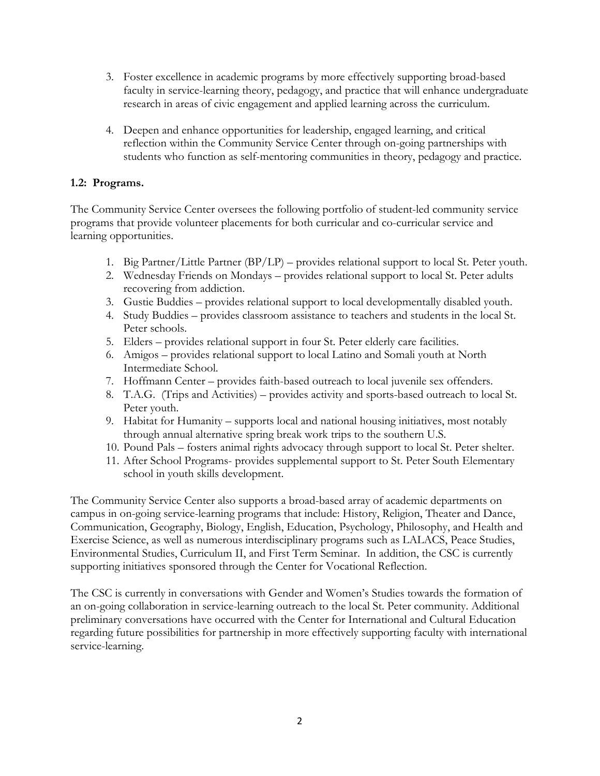- 3. Foster excellence in academic programs by more effectively supporting broad-based faculty in service-learning theory, pedagogy, and practice that will enhance undergraduate research in areas of civic engagement and applied learning across the curriculum.
- 4. Deepen and enhance opportunities for leadership, engaged learning, and critical reflection within the Community Service Center through on-going partnerships with students who function as self-mentoring communities in theory, pedagogy and practice.

# **1.2: Programs.**

The Community Service Center oversees the following portfolio of student-led community service programs that provide volunteer placements for both curricular and co-curricular service and learning opportunities.

- 1. Big Partner/Little Partner (BP/LP) provides relational support to local St. Peter youth.
- 2. Wednesday Friends on Mondays provides relational support to local St. Peter adults recovering from addiction.
- 3. Gustie Buddies provides relational support to local developmentally disabled youth.
- 4. Study Buddies provides classroom assistance to teachers and students in the local St. Peter schools.
- 5. Elders provides relational support in four St. Peter elderly care facilities.
- 6. Amigos provides relational support to local Latino and Somali youth at North Intermediate School.
- 7. Hoffmann Center provides faith-based outreach to local juvenile sex offenders.
- 8. T.A.G. (Trips and Activities) provides activity and sports-based outreach to local St. Peter youth.
- 9. Habitat for Humanity supports local and national housing initiatives, most notably through annual alternative spring break work trips to the southern U.S.
- 10. Pound Pals fosters animal rights advocacy through support to local St. Peter shelter.
- 11. After School Programs- provides supplemental support to St. Peter South Elementary school in youth skills development.

The Community Service Center also supports a broad-based array of academic departments on campus in on-going service-learning programs that include: History, Religion, Theater and Dance, Communication, Geography, Biology, English, Education, Psychology, Philosophy, and Health and Exercise Science, as well as numerous interdisciplinary programs such as LALACS, Peace Studies, Environmental Studies, Curriculum II, and First Term Seminar. In addition, the CSC is currently supporting initiatives sponsored through the Center for Vocational Reflection.

The CSC is currently in conversations with Gender and Women's Studies towards the formation of an on-going collaboration in service-learning outreach to the local St. Peter community. Additional preliminary conversations have occurred with the Center for International and Cultural Education regarding future possibilities for partnership in more effectively supporting faculty with international service-learning.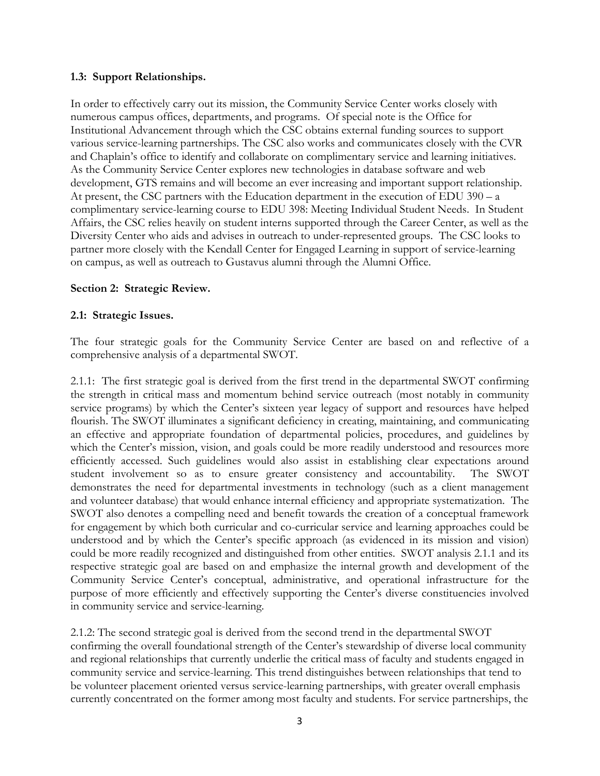#### **1.3: Support Relationships.**

In order to effectively carry out its mission, the Community Service Center works closely with numerous campus offices, departments, and programs. Of special note is the Office for Institutional Advancement through which the CSC obtains external funding sources to support various service-learning partnerships. The CSC also works and communicates closely with the CVR and Chaplain's office to identify and collaborate on complimentary service and learning initiatives. As the Community Service Center explores new technologies in database software and web development, GTS remains and will become an ever increasing and important support relationship. At present, the CSC partners with the Education department in the execution of EDU 390 – a complimentary service-learning course to EDU 398: Meeting Individual Student Needs. In Student Affairs, the CSC relies heavily on student interns supported through the Career Center, as well as the Diversity Center who aids and advises in outreach to under-represented groups. The CSC looks to partner more closely with the Kendall Center for Engaged Learning in support of service-learning on campus, as well as outreach to Gustavus alumni through the Alumni Office.

#### **Section 2: Strategic Review.**

#### **2.1: Strategic Issues.**

The four strategic goals for the Community Service Center are based on and reflective of a comprehensive analysis of a departmental SWOT.

2.1.1: The first strategic goal is derived from the first trend in the departmental SWOT confirming the strength in critical mass and momentum behind service outreach (most notably in community service programs) by which the Center's sixteen year legacy of support and resources have helped flourish. The SWOT illuminates a significant deficiency in creating, maintaining, and communicating an effective and appropriate foundation of departmental policies, procedures, and guidelines by which the Center's mission, vision, and goals could be more readily understood and resources more efficiently accessed. Such guidelines would also assist in establishing clear expectations around student involvement so as to ensure greater consistency and accountability. The SWOT demonstrates the need for departmental investments in technology (such as a client management and volunteer database) that would enhance internal efficiency and appropriate systematization. The SWOT also denotes a compelling need and benefit towards the creation of a conceptual framework for engagement by which both curricular and co-curricular service and learning approaches could be understood and by which the Center's specific approach (as evidenced in its mission and vision) could be more readily recognized and distinguished from other entities. SWOT analysis 2.1.1 and its respective strategic goal are based on and emphasize the internal growth and development of the Community Service Center's conceptual, administrative, and operational infrastructure for the purpose of more efficiently and effectively supporting the Center's diverse constituencies involved in community service and service-learning.

2.1.2: The second strategic goal is derived from the second trend in the departmental SWOT confirming the overall foundational strength of the Center's stewardship of diverse local community and regional relationships that currently underlie the critical mass of faculty and students engaged in community service and service-learning. This trend distinguishes between relationships that tend to be volunteer placement oriented versus service-learning partnerships, with greater overall emphasis currently concentrated on the former among most faculty and students. For service partnerships, the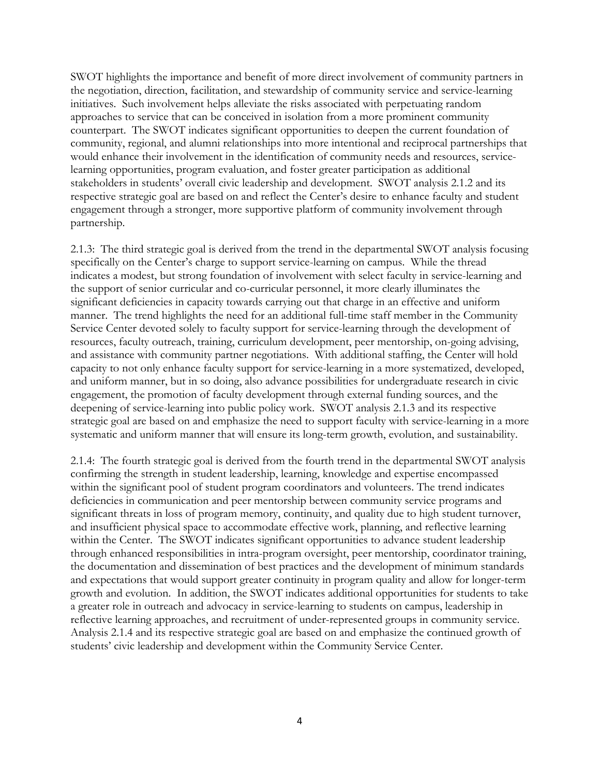SWOT highlights the importance and benefit of more direct involvement of community partners in the negotiation, direction, facilitation, and stewardship of community service and service-learning initiatives. Such involvement helps alleviate the risks associated with perpetuating random approaches to service that can be conceived in isolation from a more prominent community counterpart. The SWOT indicates significant opportunities to deepen the current foundation of community, regional, and alumni relationships into more intentional and reciprocal partnerships that would enhance their involvement in the identification of community needs and resources, servicelearning opportunities, program evaluation, and foster greater participation as additional stakeholders in students' overall civic leadership and development. SWOT analysis 2.1.2 and its respective strategic goal are based on and reflect the Center's desire to enhance faculty and student engagement through a stronger, more supportive platform of community involvement through partnership.

2.1.3: The third strategic goal is derived from the trend in the departmental SWOT analysis focusing specifically on the Center's charge to support service-learning on campus. While the thread indicates a modest, but strong foundation of involvement with select faculty in service-learning and the support of senior curricular and co-curricular personnel, it more clearly illuminates the significant deficiencies in capacity towards carrying out that charge in an effective and uniform manner. The trend highlights the need for an additional full-time staff member in the Community Service Center devoted solely to faculty support for service-learning through the development of resources, faculty outreach, training, curriculum development, peer mentorship, on-going advising, and assistance with community partner negotiations. With additional staffing, the Center will hold capacity to not only enhance faculty support for service-learning in a more systematized, developed, and uniform manner, but in so doing, also advance possibilities for undergraduate research in civic engagement, the promotion of faculty development through external funding sources, and the deepening of service-learning into public policy work. SWOT analysis 2.1.3 and its respective strategic goal are based on and emphasize the need to support faculty with service-learning in a more systematic and uniform manner that will ensure its long-term growth, evolution, and sustainability.

2.1.4: The fourth strategic goal is derived from the fourth trend in the departmental SWOT analysis confirming the strength in student leadership, learning, knowledge and expertise encompassed within the significant pool of student program coordinators and volunteers. The trend indicates deficiencies in communication and peer mentorship between community service programs and significant threats in loss of program memory, continuity, and quality due to high student turnover, and insufficient physical space to accommodate effective work, planning, and reflective learning within the Center. The SWOT indicates significant opportunities to advance student leadership through enhanced responsibilities in intra-program oversight, peer mentorship, coordinator training, the documentation and dissemination of best practices and the development of minimum standards and expectations that would support greater continuity in program quality and allow for longer-term growth and evolution. In addition, the SWOT indicates additional opportunities for students to take a greater role in outreach and advocacy in service-learning to students on campus, leadership in reflective learning approaches, and recruitment of under-represented groups in community service. Analysis 2.1.4 and its respective strategic goal are based on and emphasize the continued growth of students' civic leadership and development within the Community Service Center.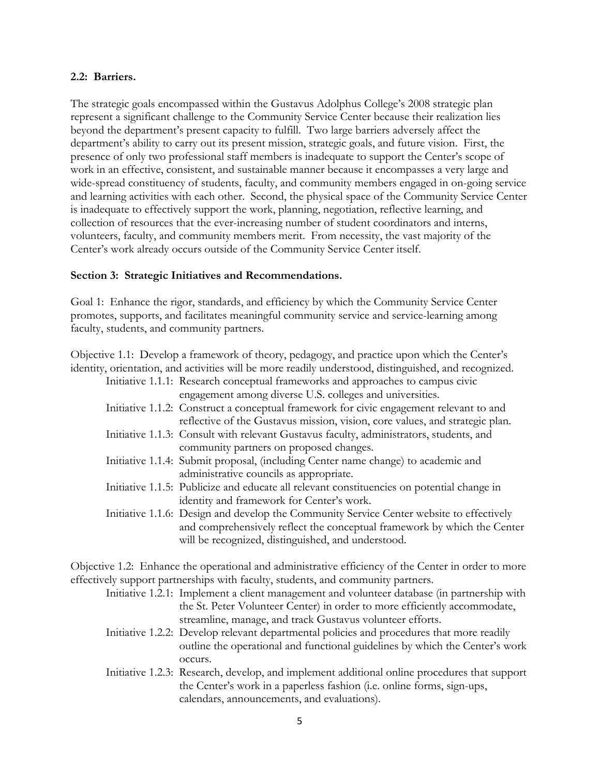#### **2.2: Barriers.**

The strategic goals encompassed within the Gustavus Adolphus College's 2008 strategic plan represent a significant challenge to the Community Service Center because their realization lies beyond the department's present capacity to fulfill. Two large barriers adversely affect the department's ability to carry out its present mission, strategic goals, and future vision. First, the presence of only two professional staff members is inadequate to support the Center's scope of work in an effective, consistent, and sustainable manner because it encompasses a very large and wide-spread constituency of students, faculty, and community members engaged in on-going service and learning activities with each other. Second, the physical space of the Community Service Center is inadequate to effectively support the work, planning, negotiation, reflective learning, and collection of resources that the ever-increasing number of student coordinators and interns, volunteers, faculty, and community members merit. From necessity, the vast majority of the Center's work already occurs outside of the Community Service Center itself.

#### **Section 3: Strategic Initiatives and Recommendations.**

Goal 1: Enhance the rigor, standards, and efficiency by which the Community Service Center promotes, supports, and facilitates meaningful community service and service-learning among faculty, students, and community partners.

Objective 1.1: Develop a framework of theory, pedagogy, and practice upon which the Center's identity, orientation, and activities will be more readily understood, distinguished, and recognized.

| Initiative 1.1.1: Research conceptual frameworks and approaches to campus civic            |  |
|--------------------------------------------------------------------------------------------|--|
| engagement among diverse U.S. colleges and universities.                                   |  |
| Initiative 1.1.2: Construct a conceptual framework for civic engagement relevant to and    |  |
| reflective of the Gustavus mission, vision, core values, and strategic plan.               |  |
| Initiative 1.1.3: Consult with relevant Gustavus faculty, administrators, students, and    |  |
| community partners on proposed changes.                                                    |  |
| Initiative 1.1.4: Submit proposal, (including Center name change) to academic and          |  |
| administrative councils as appropriate.                                                    |  |
| Initiative 1.1.5: Publicize and educate all relevant constituencies on potential change in |  |
| identity and framework for Center's work.                                                  |  |
| Initiative 1.1.6: Design and develop the Community Service Center website to effectively   |  |
| and comprehensively reflect the conceptual framework by which the Center                   |  |
| will be recognized, distinguished, and understood.                                         |  |

Objective 1.2: Enhance the operational and administrative efficiency of the Center in order to more effectively support partnerships with faculty, students, and community partners.

- Initiative 1.2.1: Implement a client management and volunteer database (in partnership with the St. Peter Volunteer Center) in order to more efficiently accommodate, streamline, manage, and track Gustavus volunteer efforts.
- Initiative 1.2.2: Develop relevant departmental policies and procedures that more readily outline the operational and functional guidelines by which the Center's work occurs.
- Initiative 1.2.3: Research, develop, and implement additional online procedures that support the Center's work in a paperless fashion (i.e. online forms, sign-ups, calendars, announcements, and evaluations).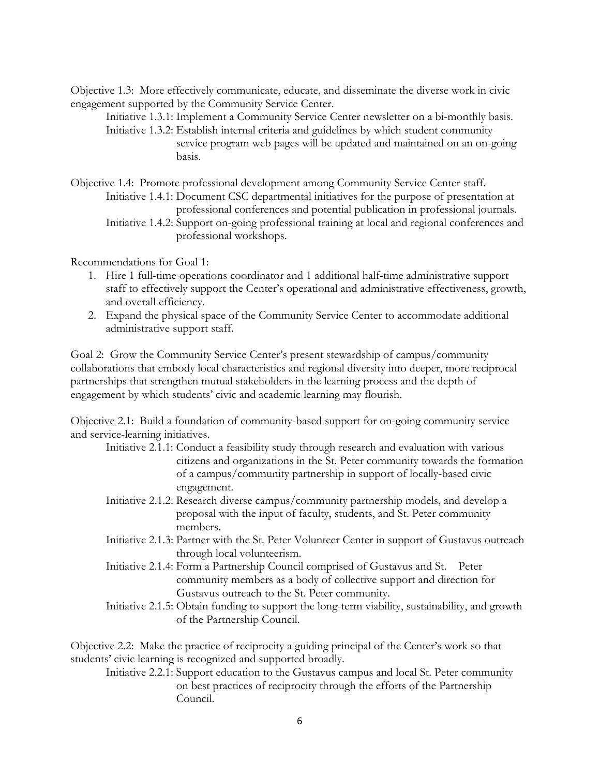Objective 1.3: More effectively communicate, educate, and disseminate the diverse work in civic engagement supported by the Community Service Center.

Initiative 1.3.1: Implement a Community Service Center newsletter on a bi-monthly basis.

- Initiative 1.3.2: Establish internal criteria and guidelines by which student community service program web pages will be updated and maintained on an on-going basis.
- Objective 1.4: Promote professional development among Community Service Center staff. Initiative 1.4.1: Document CSC departmental initiatives for the purpose of presentation at professional conferences and potential publication in professional journals.
	- Initiative 1.4.2: Support on-going professional training at local and regional conferences and professional workshops.

Recommendations for Goal 1:

- 1. Hire 1 full-time operations coordinator and 1 additional half-time administrative support staff to effectively support the Center's operational and administrative effectiveness, growth, and overall efficiency.
- 2. Expand the physical space of the Community Service Center to accommodate additional administrative support staff.

Goal 2: Grow the Community Service Center's present stewardship of campus/community collaborations that embody local characteristics and regional diversity into deeper, more reciprocal partnerships that strengthen mutual stakeholders in the learning process and the depth of engagement by which students' civic and academic learning may flourish.

Objective 2.1: Build a foundation of community-based support for on-going community service and service-learning initiatives.

- Initiative 2.1.1: Conduct a feasibility study through research and evaluation with various citizens and organizations in the St. Peter community towards the formation of a campus/community partnership in support of locally-based civic engagement.
- Initiative 2.1.2: Research diverse campus/community partnership models, and develop a proposal with the input of faculty, students, and St. Peter community members.
- Initiative 2.1.3: Partner with the St. Peter Volunteer Center in support of Gustavus outreach through local volunteerism.
- Initiative 2.1.4: Form a Partnership Council comprised of Gustavus and St. Peter community members as a body of collective support and direction for Gustavus outreach to the St. Peter community.
- Initiative 2.1.5: Obtain funding to support the long-term viability, sustainability, and growth of the Partnership Council.

Objective 2.2: Make the practice of reciprocity a guiding principal of the Center's work so that students' civic learning is recognized and supported broadly.

 Initiative 2.2.1: Support education to the Gustavus campus and local St. Peter community on best practices of reciprocity through the efforts of the Partnership Council.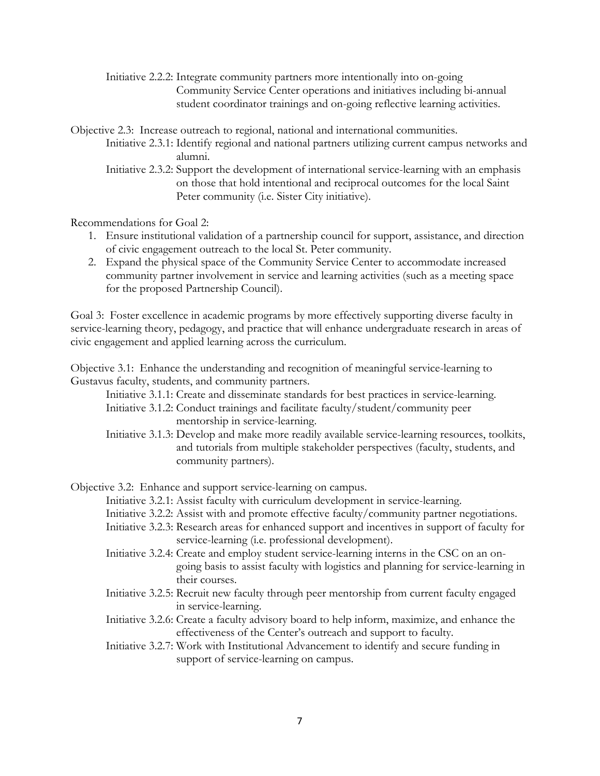Initiative 2.2.2: Integrate community partners more intentionally into on-going Community Service Center operations and initiatives including bi-annual student coordinator trainings and on-going reflective learning activities.

Objective 2.3: Increase outreach to regional, national and international communities.

- Initiative 2.3.1: Identify regional and national partners utilizing current campus networks and alumni.
- Initiative 2.3.2: Support the development of international service-learning with an emphasis on those that hold intentional and reciprocal outcomes for the local Saint Peter community (i.e. Sister City initiative).

Recommendations for Goal 2:

- 1. Ensure institutional validation of a partnership council for support, assistance, and direction of civic engagement outreach to the local St. Peter community.
- 2. Expand the physical space of the Community Service Center to accommodate increased community partner involvement in service and learning activities (such as a meeting space for the proposed Partnership Council).

Goal 3: Foster excellence in academic programs by more effectively supporting diverse faculty in service-learning theory, pedagogy, and practice that will enhance undergraduate research in areas of civic engagement and applied learning across the curriculum.

Objective 3.1: Enhance the understanding and recognition of meaningful service-learning to Gustavus faculty, students, and community partners.

- Initiative 3.1.1: Create and disseminate standards for best practices in service-learning.
- Initiative 3.1.2: Conduct trainings and facilitate faculty/student/community peer mentorship in service-learning.
- Initiative 3.1.3: Develop and make more readily available service-learning resources, toolkits, and tutorials from multiple stakeholder perspectives (faculty, students, and community partners).

Objective 3.2: Enhance and support service-learning on campus.

- Initiative 3.2.1: Assist faculty with curriculum development in service-learning.
- Initiative 3.2.2: Assist with and promote effective faculty/community partner negotiations.
- Initiative 3.2.3: Research areas for enhanced support and incentives in support of faculty for service-learning (i.e. professional development).
- Initiative 3.2.4: Create and employ student service-learning interns in the CSC on an on going basis to assist faculty with logistics and planning for service-learning in their courses.
- Initiative 3.2.5: Recruit new faculty through peer mentorship from current faculty engaged in service-learning.
- Initiative 3.2.6: Create a faculty advisory board to help inform, maximize, and enhance the effectiveness of the Center's outreach and support to faculty.
- Initiative 3.2.7: Work with Institutional Advancement to identify and secure funding in support of service-learning on campus.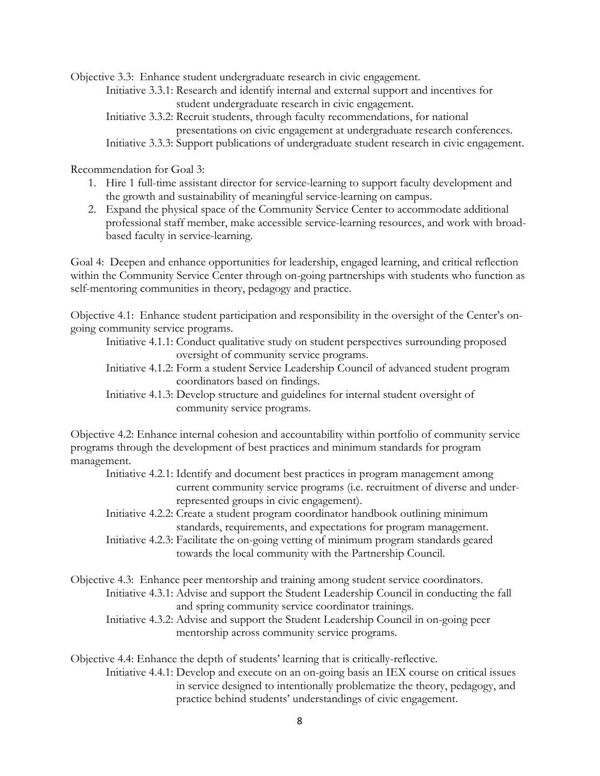Objective 3.3: Enhance student undergraduate research in civic engagement.

 Initiative 3.3.1: Research and identify internal and external support and incentives for student undergraduate research in civic engagement.

 Initiative 3.3.2: Recruit students, through faculty recommendations, for national presentations on civic engagement at undergraduate research conferences. Initiative 3.3.3: Support publications of undergraduate student research in civic engagement.

Recommendation for Goal 3:

- 1. Hire 1 full-time assistant director for service-learning to support faculty development and the growth and sustainability of meaningful service-learning on campus.
- 2. Expand the physical space of the Community Service Center to accommodate additional professional staff member, make accessible service-learning resources, and work with broadbased faculty in service-learning.

Goal 4: Deepen and enhance opportunities for leadership, engaged learning, and critical reflection within the Community Service Center through on-going partnerships with students who function as self-mentoring communities in theory, pedagogy and practice.

Objective 4.1: Enhance student participation and responsibility in the oversight of the Center's ongoing community service programs.

 Initiative 4.1.1: Conduct qualitative study on student perspectives surrounding proposed oversight of community service programs.

- Initiative 4.1.2: Form a student Service Leadership Council of advanced student program coordinators based on findings.
- Initiative 4.1.3: Develop structure and guidelines for internal student oversight of community service programs.

Objective 4.2: Enhance internal cohesion and accountability within portfolio of community service programs through the development of best practices and minimum standards for program management.

 Initiative 4.2.1: Identify and document best practices in program management among current community service programs (i.e. recruitment of diverse and under represented groups in civic engagement).

- Initiative 4.2.2: Create a student program coordinator handbook outlining minimum standards, requirements, and expectations for program management.
- Initiative 4.2.3: Facilitate the on-going vetting of minimum program standards geared towards the local community with the Partnership Council.
- Objective 4.3: Enhance peer mentorship and training among student service coordinators. Initiative 4.3.1: Advise and support the Student Leadership Council in conducting the fall and spring community service coordinator trainings.

 Initiative 4.3.2: Advise and support the Student Leadership Council in on-going peer mentorship across community service programs.

Objective 4.4: Enhance the depth of students' learning that is critically-reflective.

 Initiative 4.4.1: Develop and execute on an on-going basis an IEX course on critical issues in service designed to intentionally problematize the theory, pedagogy, and practice behind students' understandings of civic engagement.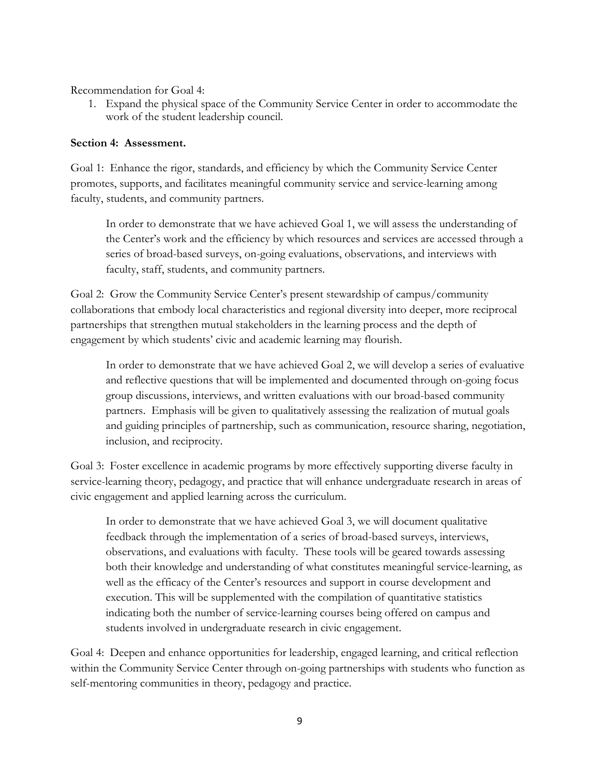Recommendation for Goal 4:

1. Expand the physical space of the Community Service Center in order to accommodate the work of the student leadership council.

### **Section 4: Assessment.**

Goal 1: Enhance the rigor, standards, and efficiency by which the Community Service Center promotes, supports, and facilitates meaningful community service and service-learning among faculty, students, and community partners.

 In order to demonstrate that we have achieved Goal 1, we will assess the understanding of the Center's work and the efficiency by which resources and services are accessed through a series of broad-based surveys, on-going evaluations, observations, and interviews with faculty, staff, students, and community partners.

Goal 2: Grow the Community Service Center's present stewardship of campus/community collaborations that embody local characteristics and regional diversity into deeper, more reciprocal partnerships that strengthen mutual stakeholders in the learning process and the depth of engagement by which students' civic and academic learning may flourish.

 In order to demonstrate that we have achieved Goal 2, we will develop a series of evaluative and reflective questions that will be implemented and documented through on-going focus group discussions, interviews, and written evaluations with our broad-based community partners. Emphasis will be given to qualitatively assessing the realization of mutual goals and guiding principles of partnership, such as communication, resource sharing, negotiation, inclusion, and reciprocity.

Goal 3: Foster excellence in academic programs by more effectively supporting diverse faculty in service-learning theory, pedagogy, and practice that will enhance undergraduate research in areas of civic engagement and applied learning across the curriculum.

 In order to demonstrate that we have achieved Goal 3, we will document qualitative feedback through the implementation of a series of broad-based surveys, interviews, observations, and evaluations with faculty. These tools will be geared towards assessing both their knowledge and understanding of what constitutes meaningful service-learning, as well as the efficacy of the Center's resources and support in course development and execution. This will be supplemented with the compilation of quantitative statistics indicating both the number of service-learning courses being offered on campus and students involved in undergraduate research in civic engagement.

Goal 4: Deepen and enhance opportunities for leadership, engaged learning, and critical reflection within the Community Service Center through on-going partnerships with students who function as self-mentoring communities in theory, pedagogy and practice.